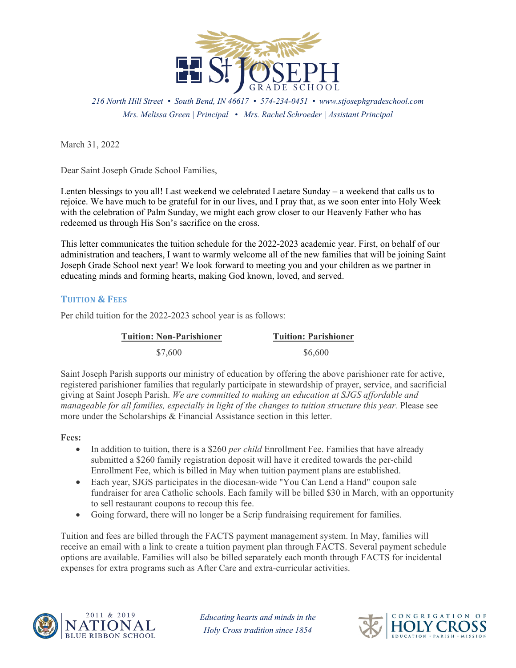

*216 North Hill Street • South Bend, IN 46617 • 574-234-0451 • www.stjosephgradeschool.com Mrs. Melissa Green | Principal • Mrs. Rachel Schroeder | Assistant Principal*

March 31, 2022

Dear Saint Joseph Grade School Families,

Lenten blessings to you all! Last weekend we celebrated Laetare Sunday – a weekend that calls us to rejoice. We have much to be grateful for in our lives, and I pray that, as we soon enter into Holy Week with the celebration of Palm Sunday, we might each grow closer to our Heavenly Father who has redeemed us through His Son's sacrifice on the cross.

This letter communicates the tuition schedule for the 2022-2023 academic year. First, on behalf of our administration and teachers, I want to warmly welcome all of the new families that will be joining Saint Joseph Grade School next year! We look forward to meeting you and your children as we partner in educating minds and forming hearts, making God known, loved, and served.

# **TUITION & FEES**

Per child tuition for the 2022-2023 school year is as follows:

| <b>Tuition: Non-Parishioner</b> | <b>Tuition: Parishioner</b> |
|---------------------------------|-----------------------------|
| \$7,600                         | \$6,600                     |

Saint Joseph Parish supports our ministry of education by offering the above parishioner rate for active, registered parishioner families that regularly participate in stewardship of prayer, service, and sacrificial giving at Saint Joseph Parish. *We are committed to making an education at SJGS affordable and manageable for all families, especially in light of the changes to tuition structure this year.* Please see more under the Scholarships & Financial Assistance section in this letter.

#### **Fees:**

- In addition to tuition, there is a \$260 *per child* Enrollment Fee. Families that have already submitted a \$260 family registration deposit will have it credited towards the per-child Enrollment Fee, which is billed in May when tuition payment plans are established.
- Each year, SJGS participates in the diocesan-wide "You Can Lend a Hand" coupon sale fundraiser for area Catholic schools. Each family will be billed \$30 in March, with an opportunity to sell restaurant coupons to recoup this fee.
- Going forward, there will no longer be a Scrip fundraising requirement for families.

Tuition and fees are billed through the FACTS payment management system. In May, families will receive an email with a link to create a tuition payment plan through FACTS. Several payment schedule options are available. Families will also be billed separately each month through FACTS for incidental expenses for extra programs such as After Care and extra-curricular activities.



*Educating hearts and minds in the Holy Cross tradition since 1854*